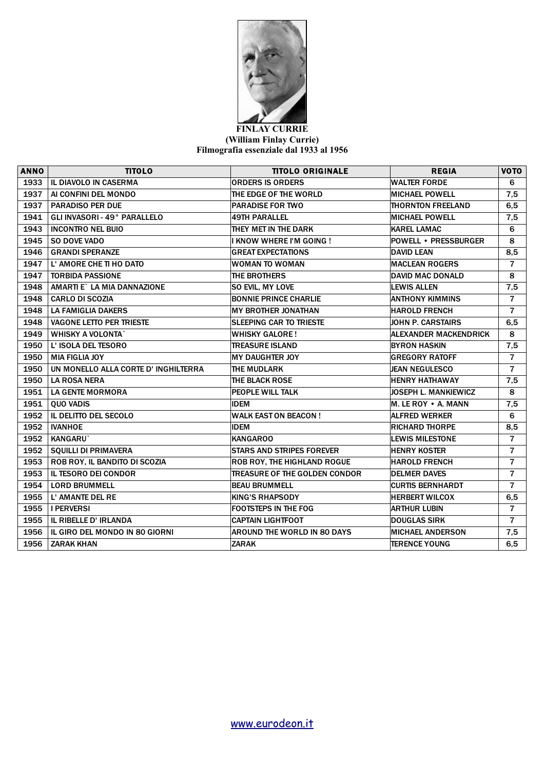

## **FINLAY CURRIE (William Finlay Currie) Filmografia essenziale dal 1933 al 1956**

| <b>ANNO</b> | <b>TITOLO</b>                        | <b>TITOLO ORIGINALE</b>              | <b>REGIA</b>                 | VOTO           |
|-------------|--------------------------------------|--------------------------------------|------------------------------|----------------|
| 1933        | <b>IL DIAVOLO IN CASERMA</b>         | <b>ORDERS IS ORDERS</b>              | <b>WALTER FORDE</b>          | 6              |
| 1937        | AI CONFINI DEL MONDO                 | THE EDGE OF THE WORLD                | <b>MICHAEL POWELL</b>        | 7,5            |
| 1937        | <b>PARADISO PER DUE</b>              | <b>PARADISE FOR TWO</b>              | <b>THORNTON FREELAND</b>     | 6, 5           |
| 1941        | GLI INVASORI - 49° PARALLELO         | <b>49TH PARALLEL</b>                 | <b>MICHAEL POWELL</b>        | 7,5            |
| 1943        | <b>INCONTRO NEL BUIO</b>             | THEY MET IN THE DARK                 | <b>KAREL LAMAC</b>           | 6              |
| 1945        | SO DOVE VADO                         | I KNOW WHERE I'M GOING !             | <b>POWELL • PRESSBURGER</b>  | 8              |
| 1946        | <b>GRANDI SPERANZE</b>               | <b>GREAT EXPECTATIONS</b>            | <b>DAVID LEAN</b>            | 8,5            |
| 1947        | L'AMORE CHE TI HO DATO               | WOMAN TO WOMAN                       | <b>MACLEAN ROGERS</b>        | $\overline{7}$ |
| 1947        | <b>TORBIDA PASSIONE</b>              | THE BROTHERS                         | <b>DAVID MAC DONALD</b>      | 8              |
| 1948        | AMARTI E` LA MIA DANNAZIONE          | <b>SO EVIL, MY LOVE</b>              | <b>LEWIS ALLEN</b>           | 7,5            |
| 1948        | <b>CARLO DI SCOZIA</b>               | <b>BONNIE PRINCE CHARLIE</b>         | <b>ANTHONY KIMMINS</b>       | $\overline{7}$ |
| 1948        | <b>LA FAMIGLIA DAKERS</b>            | MY BROTHER JONATHAN                  | <b>HAROLD FRENCH</b>         | $\overline{7}$ |
| 1948        | <b>VAGONE LETTO PER TRIESTE</b>      | <b>SLEEPING CAR TO TRIESTE</b>       | <b>JOHN P. CARSTAIRS</b>     | 6, 5           |
| 1949        | <b>WHISKY A VOLONTA</b>              | <b>WHISKY GALORE!</b>                | <b>ALEXANDER MACKENDRICK</b> | 8              |
| 1950        | L' ISOLA DEL TESORO                  | <b>TREASURE ISLAND</b>               | <b>BYRON HASKIN</b>          | 7,5            |
| 1950        | <b>MIA FIGLIA JOY</b>                | <b>MY DAUGHTER JOY</b>               | <b>GREGORY RATOFF</b>        | $\overline{7}$ |
| 1950        | UN MONELLO ALLA CORTE D' INGHILTERRA | THE MUDLARK                          | <b>JEAN NEGULESCO</b>        | $\overline{7}$ |
| 1950        | <b>LA ROSA NERA</b>                  | THE BLACK ROSE                       | <b>HENRY HATHAWAY</b>        | 7,5            |
| 1951        | LA GENTE MORMORA                     | PEOPLE WILL TALK                     | JOSEPH L. MANKIEWICZ         | 8              |
| 1951        | <b>QUO VADIS</b>                     | <b>IDEM</b>                          | M. LE ROY • A. MANN          | 7,5            |
| 1952        | IL DELITTO DEL SECOLO                | <b>WALK EAST ON BEACON!</b>          | <b>ALFRED WERKER</b>         | 6              |
| 1952        | <b>IVANHOE</b>                       | <b>IDEM</b>                          | <b>RICHARD THORPE</b>        | 8,5            |
| 1952        | <b>KANGARU`</b>                      | <b>KANGAROO</b>                      | <b>LEWIS MILESTONE</b>       | $\overline{7}$ |
| 1952        | <b>SQUILLI DI PRIMAVERA</b>          | <b>STARS AND STRIPES FOREVER</b>     | <b>HENRY KOSTER</b>          | 7              |
| 1953        | ROB ROY, IL BANDITO DI SCOZIA        | ROB ROY, THE HIGHLAND ROGUE          | <b>HAROLD FRENCH</b>         | $\overline{7}$ |
| 1953        | <b>IL TESORO DEI CONDOR</b>          | <b>TREASURE OF THE GOLDEN CONDOR</b> | <b>DELMER DAVES</b>          | $\overline{7}$ |
| 1954        | <b>LORD BRUMMELL</b>                 | <b>BEAU BRUMMELL</b>                 | <b>CURTIS BERNHARDT</b>      | $\overline{7}$ |
| 1955        | L' AMANTE DEL RE                     | <b>KING'S RHAPSODY</b>               | <b>HERBERT WILCOX</b>        | 6, 5           |
| 1955        | <b>I PERVERSI</b>                    | <b>FOOTSTEPS IN THE FOG</b>          | <b>ARTHUR LUBIN</b>          | $\overline{7}$ |
| 1955        | IL RIBELLE D' IRLANDA                | <b>CAPTAIN LIGHTFOOT</b>             | <b>DOUGLAS SIRK</b>          | $\overline{7}$ |
| 1956        | IL GIRO DEL MONDO IN 80 GIORNI       | <b>AROUND THE WORLD IN 80 DAYS</b>   | <b>MICHAEL ANDERSON</b>      | 7,5            |
| 1956        | <b>ZARAK KHAN</b>                    | <b>ZARAK</b>                         | <b>TERENCE YOUNG</b>         | 6,5            |